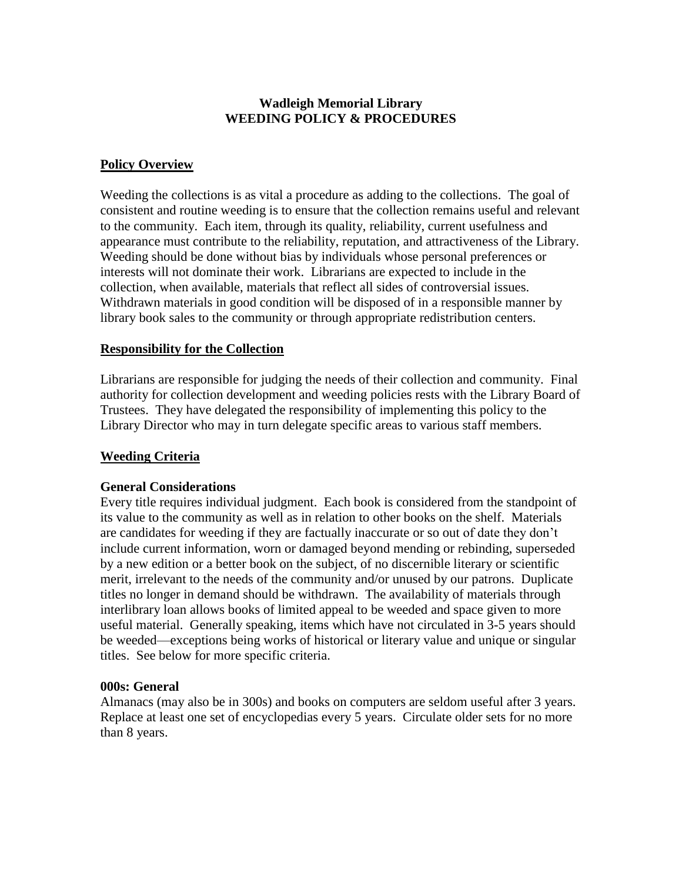# **Wadleigh Memorial Library WEEDING POLICY & PROCEDURES**

# **Policy Overview**

Weeding the collections is as vital a procedure as adding to the collections. The goal of consistent and routine weeding is to ensure that the collection remains useful and relevant to the community. Each item, through its quality, reliability, current usefulness and appearance must contribute to the reliability, reputation, and attractiveness of the Library. Weeding should be done without bias by individuals whose personal preferences or interests will not dominate their work. Librarians are expected to include in the collection, when available, materials that reflect all sides of controversial issues. Withdrawn materials in good condition will be disposed of in a responsible manner by library book sales to the community or through appropriate redistribution centers.

### **Responsibility for the Collection**

Librarians are responsible for judging the needs of their collection and community. Final authority for collection development and weeding policies rests with the Library Board of Trustees. They have delegated the responsibility of implementing this policy to the Library Director who may in turn delegate specific areas to various staff members.

### **Weeding Criteria**

### **General Considerations**

Every title requires individual judgment. Each book is considered from the standpoint of its value to the community as well as in relation to other books on the shelf. Materials are candidates for weeding if they are factually inaccurate or so out of date they don't include current information, worn or damaged beyond mending or rebinding, superseded by a new edition or a better book on the subject, of no discernible literary or scientific merit, irrelevant to the needs of the community and/or unused by our patrons. Duplicate titles no longer in demand should be withdrawn. The availability of materials through interlibrary loan allows books of limited appeal to be weeded and space given to more useful material. Generally speaking, items which have not circulated in 3-5 years should be weeded—exceptions being works of historical or literary value and unique or singular titles. See below for more specific criteria.

### **000s: General**

Almanacs (may also be in 300s) and books on computers are seldom useful after 3 years. Replace at least one set of encyclopedias every 5 years. Circulate older sets for no more than 8 years.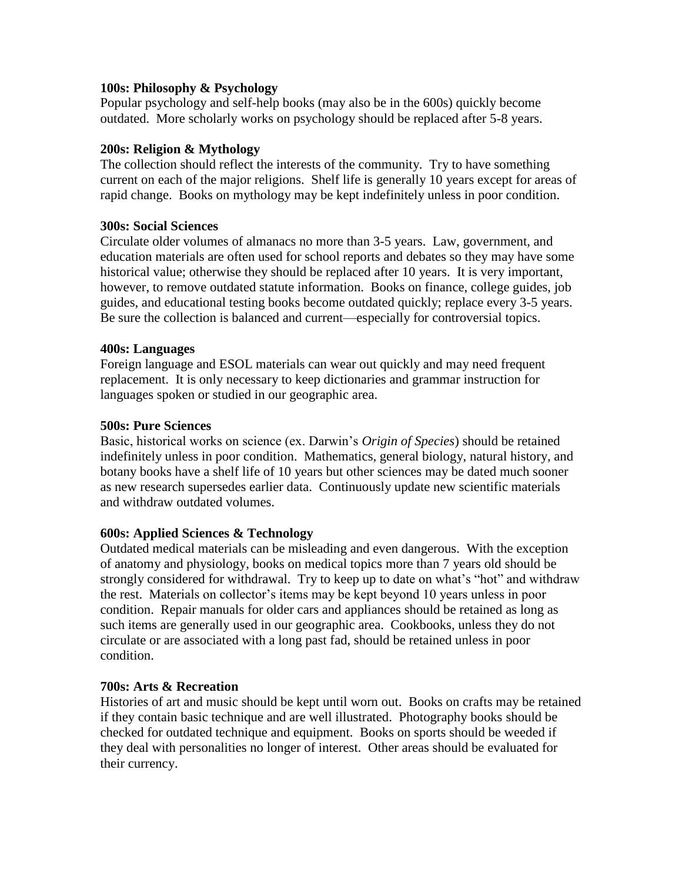### **100s: Philosophy & Psychology**

Popular psychology and self-help books (may also be in the 600s) quickly become outdated. More scholarly works on psychology should be replaced after 5-8 years.

## **200s: Religion & Mythology**

The collection should reflect the interests of the community. Try to have something current on each of the major religions. Shelf life is generally 10 years except for areas of rapid change. Books on mythology may be kept indefinitely unless in poor condition.

### **300s: Social Sciences**

Circulate older volumes of almanacs no more than 3-5 years. Law, government, and education materials are often used for school reports and debates so they may have some historical value; otherwise they should be replaced after 10 years. It is very important, however, to remove outdated statute information. Books on finance, college guides, job guides, and educational testing books become outdated quickly; replace every 3-5 years. Be sure the collection is balanced and current—especially for controversial topics.

### **400s: Languages**

Foreign language and ESOL materials can wear out quickly and may need frequent replacement. It is only necessary to keep dictionaries and grammar instruction for languages spoken or studied in our geographic area.

### **500s: Pure Sciences**

Basic, historical works on science (ex. Darwin's *Origin of Species*) should be retained indefinitely unless in poor condition. Mathematics, general biology, natural history, and botany books have a shelf life of 10 years but other sciences may be dated much sooner as new research supersedes earlier data. Continuously update new scientific materials and withdraw outdated volumes.

# **600s: Applied Sciences & Technology**

Outdated medical materials can be misleading and even dangerous. With the exception of anatomy and physiology, books on medical topics more than 7 years old should be strongly considered for withdrawal. Try to keep up to date on what's "hot" and withdraw the rest. Materials on collector's items may be kept beyond 10 years unless in poor condition. Repair manuals for older cars and appliances should be retained as long as such items are generally used in our geographic area. Cookbooks, unless they do not circulate or are associated with a long past fad, should be retained unless in poor condition.

### **700s: Arts & Recreation**

Histories of art and music should be kept until worn out. Books on crafts may be retained if they contain basic technique and are well illustrated. Photography books should be checked for outdated technique and equipment. Books on sports should be weeded if they deal with personalities no longer of interest. Other areas should be evaluated for their currency.